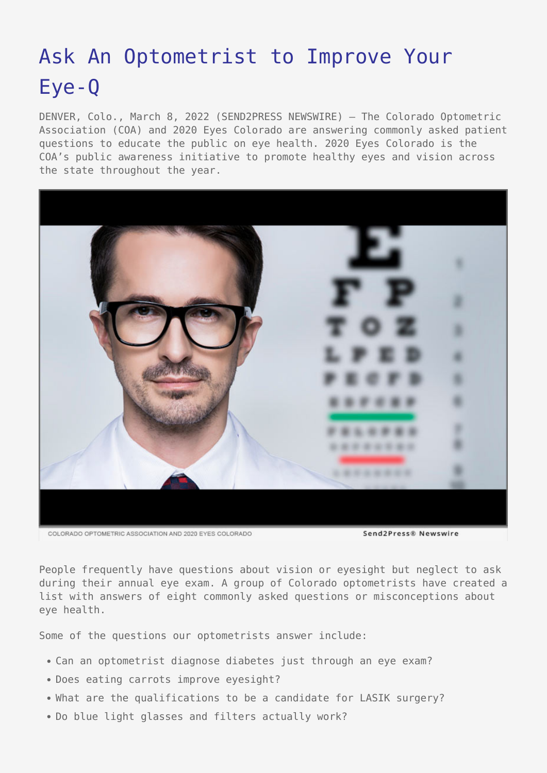## [Ask An Optometrist to Improve Your](https://www.send2press.com/wire/ask-an-optometrist-to-improve-your-eye-q/) [Eye-Q](https://www.send2press.com/wire/ask-an-optometrist-to-improve-your-eye-q/)

DENVER, Colo., March 8, 2022 (SEND2PRESS NEWSWIRE) — The Colorado Optometric Association (COA) and 2020 Eyes Colorado are answering commonly asked patient questions to educate the public on eye health. 2020 Eyes Colorado is the COA's public awareness initiative to promote healthy eyes and vision across the state throughout the year.



Send2Press® Newswire

People frequently have questions about vision or eyesight but neglect to ask during their annual eye exam. A group of Colorado optometrists have created a list with answers of eight commonly asked questions or misconceptions about eye health.

Some of the questions our optometrists answer include:

- Can an optometrist diagnose diabetes just through an eye exam?
- Does eating carrots improve eyesight?
- What are the qualifications to be a candidate for LASIK surgery?
- Do blue light glasses and filters actually work?